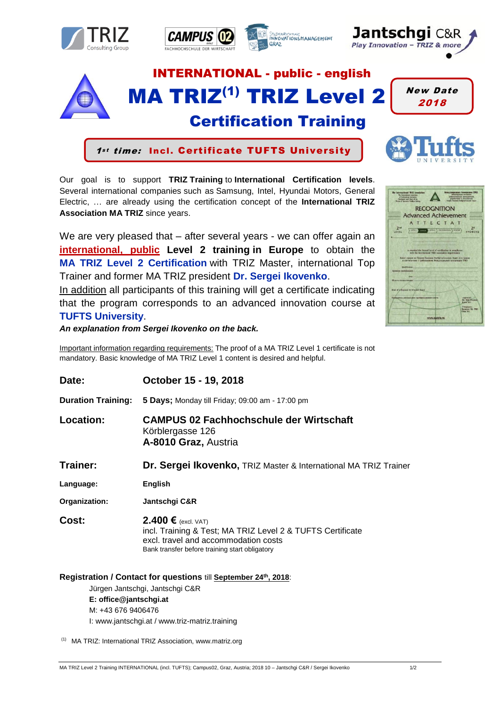









# Certification Training

INTERNATIONAL - public - english

MA TRIZ<sup>(1)</sup> TRIZ Level 2

1st time: Incl. Certificate TUFTS University

Our goal is to support **TRIZ Training** to **International Certification levels**. Several international companies such as Samsung, Intel, Hyundai Motors, General Electric, … are already using the certification concept of the **International TRIZ Association MA TRIZ** since years.

We are very pleased that – after several years - we can offer again an **international, public Level 2 training in Europe** to obtain the **MA TRIZ Level 2 Certification** with TRIZ Master, international Top Trainer and former MA TRIZ president **Dr. Sergei Ikovenko**.

In addition all participants of this training will get a certificate indicating that the program corresponds to an advanced innovation course at **TUFTS University**.

*An explanation from Sergei Ikovenko on the back.* 

Important information regarding requirements: The proof of a MA TRIZ Level 1 certificate is not mandatory. Basic knowledge of MA TRIZ Level 1 content is desired and helpful.

| Date:                                                                                                                                              | October 15 - 19, 2018                                                                                                                                                         |
|----------------------------------------------------------------------------------------------------------------------------------------------------|-------------------------------------------------------------------------------------------------------------------------------------------------------------------------------|
| <b>Duration Training:</b>                                                                                                                          | 5 Days; Monday till Friday; 09:00 am - 17:00 pm                                                                                                                               |
| Location:                                                                                                                                          | <b>CAMPUS 02 Fachhochschule der Wirtschaft</b><br>Körblergasse 126<br>A-8010 Graz, Austria                                                                                    |
| Trainer:                                                                                                                                           | Dr. Sergei Ikovenko, TRIZ Master & International MA TRIZ Trainer                                                                                                              |
| Language:                                                                                                                                          | English                                                                                                                                                                       |
| Organization:                                                                                                                                      | Jantschgi C&R                                                                                                                                                                 |
| Cost:                                                                                                                                              | 2.400 € $(excl. VAT)$<br>incl. Training & Test; MA TRIZ Level 2 & TUFTS Certificate<br>excl. travel and accommodation costs<br>Bank transfer before training start obligatory |
| Registration / Contact for questions till September 24th, 2018:<br>Jürgen Jantschgi, Jantschgi C&R<br>E: office@jantschgi.at<br>M: +43 676 9406476 |                                                                                                                                                                               |

I: www.jantschgi.at / www.triz-matriz.training

(1) MA TRIZ: International TRIZ Association, www.matriz.org